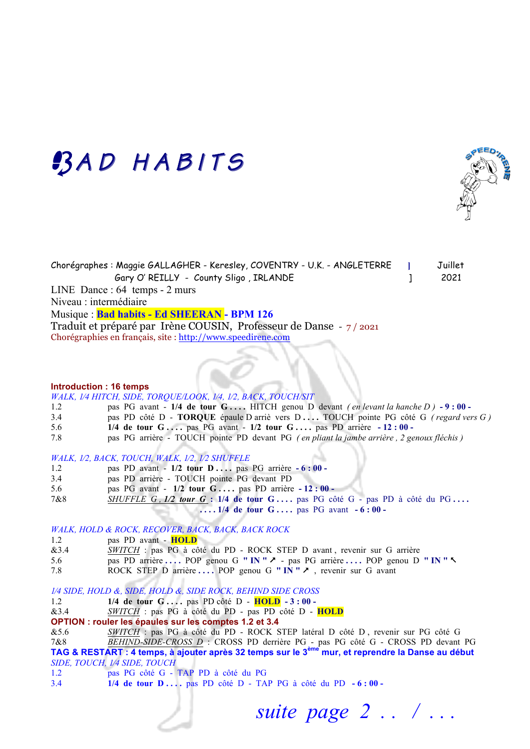# BAD HABITS



Chorégraphes : Maggie GALLAGHER - Keresley, COVENTRY - U.K. - ANGLETERRE **]** Juillet Gary O' REILLY - County Sligo, IRLANDE | 2021 LINE Dance : 64 temps - 2 murs Niveau : intermédiaire Musique : **Bad habits - Ed SHEERAN - BPM 126**  Traduit et préparé par Irène COUSIN, Professeur de Danse - 7 / 2021 Chorégraphies en français, site : http://www.speedirene.com

#### **Introduction : 16 temps**

*WALK, 1⁄4 HITCH, SIDE, TORQUE/LOOK, 1⁄4, 1⁄2, BACK, TOUCH/SIT*

- 1.2 pas PG avant **1/4 de tour G . . . .** HITCH genou D devant *( en levant la hanche D )* **- 9 : 00**  3.4 pas PD côté D - **TORQUE** épaule D arriè vers D **. . . .** TOUCH pointe PG côté G *( regard vers G )*  5.6 **1/4 de tour G . . . .** pas PG avant - **1/2 tour G . . . .** pas PD arrière **- 12 : 00 -**
- 7.8 pas PG arrière TOUCH pointe PD devant PG *( en pliant la jambe arrière , 2 genoux fléchis )*

### *WALK, 1⁄2, BACK, TOUCH, WALK, 1⁄2, 1⁄2 SHUFFLE*

- 1.2 pas PD avant **1/2 tour D . . . .** pas PG arrière **- 6 : 00**
- 3.4 pas PD arrière TOUCH pointe PG devant PD
- 5.6 pas PG avant **1/2 tour G . . . .** pas PD arrière **- 12 : 00**
- 7&8 *SHUFFLE G , 1/2 tour G* **: 1/4 de tour G . . . .** pas PG côté G pas PD à côté du PG **. . . . ....** 1/4 de tour G.... pas PG avant  $-6:00$

*WALK, HOLD & ROCK, RECOVER, BACK, BACK, BACK ROCK*

- 1.2 pas PD avant **HOLD**
- &3.4 *SWITCH* : pas PG à côté du PD ROCK STEP D avant , revenir sur G arrière
- 5.6 pas PD arrière **. . . .** POP genou G **" IN "** & pas PG arrière **. . . .** POP genou D **" IN "** %
- 7.8 ROCK STEP D arrière **. . . .** POP genou G **" IN "** &, revenir sur G avant

*1⁄4 SIDE, HOLD &, SIDE, HOLD &, SIDE ROCK, BEHIND SIDE CROSS*

- 1.2 **1/4 de tour G . . . .** pas PD côté D **HOLD - 3 : 00**
- &3.4 *SWITCH* : pas PG à côté du PD pas PD côté D **HOLD**
- **OPTION : rouler les épaules sur les comptes 1.2 et 3.4**

&5.6 *SWITCH* : pas PG à côté du PD - ROCK STEP latéral D côté D , revenir sur PG côté G 7&8 *BEHIND-SIDE-CROSS D* : CROSS PD derrière PG - pas PG côté G - CROSS PD devant PG

**TAG & RESTART : 4 temps, à ajouter après 32 temps sur le 3ème mur, et reprendre la Danse au début** *SIDE, TOUCH, 1⁄4 SIDE, TOUCH* 

- 1.2 pas PG côté G TAP PD à côté du PG
- 3.4 **1/4 de tour D . . . .** pas PD côté D TAP PG à côté du PD **- 6 : 00**

 *suite page 2 . . / . . .*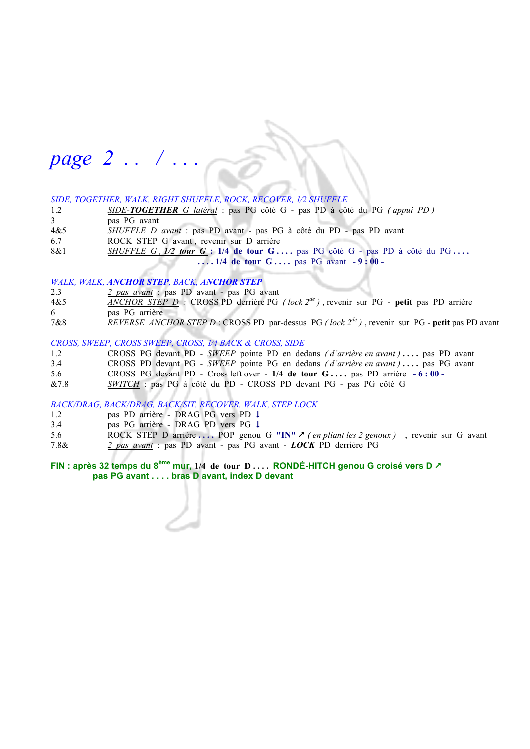# *page 2 . . / . . .*

# *SIDE, TOGETHER, WALK, RIGHT SHUFFLE, ROCK, RECOVER, 1⁄2 SHUFFLE*

- 1.2 *SIDE-TOGETHER G latéral* : pas PG côté G pas PD à côté du PG *( appui PD )*
- 3 pas PG avant
- 4&5 *SHUFFLE D avant* : pas PD avant pas PG à côté du PD pas PD avant
- 6.7 ROCK STEP G avant , revenir sur D arrière
- 8&1 *SHUFFLE G , 1/2 tour G* : 1/4 de tour G ... . pas PG côté G pas PD à côté du PG ...  **. . . . 1/4 de tour G . . . .** pas PG avant **- 9 : 00 -**

### *WALK, WALK, ANCHOR STEP, BACK, ANCHOR STEP*

- 2.3 *2 pas avant* : pas PD avant pas PG avant
- 4&5 *ANCHOR STEP D :* CROSS PD derrière PG *( lock 2de )* , revenir sur PG **petit** pas PD arrière
- 6 pas PG arrière
- 7&8 *REVERSE ANCHOR STEP D* : CROSS PD par-dessus PG *( lock 2de )* , revenir sur PG **petit** pas PD avant

# *CROSS, SWEEP, CROSS SWEEP, CROSS, 1⁄4 BACK & CROSS, SIDE*

- 1.2 CROSS PG devant PD *SWEEP* pointe PD en dedans *(d'arrière en avant )* ... . pas PD avant
- 3.4 CROSS PD devant PG *SWEEP* pointe PG en dedans *( d'arrière en avant )* **. . . .** pas PG avant
- 5.6 CROSS PG devant PD Cross left over **1/4 de tour G . . . .** pas PD arrière **- 6 : 00**
- &7.8 *SWITCH* : pas PG à côté du PD CROSS PD devant PG pas PG côté G

# *BACK/DRAG, BACK/DRAG, BACK/SIT, RECOVER, WALK, STEP LOCK*

- 1.2 pas PD arrière DRAG PG vers PD 4
- 3.4 pas PG arrière DRAG PD vers PG 4
- 5.6 ROCK STEP D arrière **. . . .** POP genou G **"IN"** & *( en pliant les 2 genoux )*, revenir sur G avant 7.8& *2 pas avant* : pas PD avant - pas PG avant - *LOCK* PD derrière PG

# **FIN : après 32 temps du 8ème mur, 1/4 de tour D . . . . RONDÉ-HITCH genou G croisé vers D** &  **pas PG avant . . . . bras D avant, index D devant**